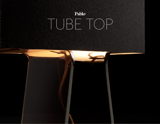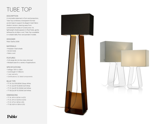# TUBE TOP

### DESCRIPTION

A minimalist statement in form and proportion, Tube Top combines a transparent formed acrylic base to support its elegant mesh fabric shade in tension, steering away from conventional modes of construction. Its lightweight shade appears to float freely, gently tethered by its fabric cord. Tube Top is available in multiple table, floor and pendant models.

### DESIGNER

Peter Stathis 2006

### MATERIALS

- Polyester mesh shade
- Acrylic body
- Fabric cord

### FEATURES

• Full-range dim (in-line rotary dimmer) • Multiple sizes for a variety of applications

### SPECIFICATIONS

- Voltage: 120V or 240V
- Cord length: 6' (182cm)
- 1 year warranty
- Certifications: UL listed components

### BULB TYPE

- TT 14: (1x) G16 (60W) Glossy White
- TT 21: (2x) BT-15 (60W) Soft White
- TT 27: (2x) BT-15 (100W) Soft White
- TT 60:(2x) BT-15 (100W) Soft White

### DIMENSIONS

- TT 14: 14"H X 9.5"W X 4.5"D
- TT 21: 21"H X 14.5"W X 6.5"D
- TT 27: 27"H X 18"W X 9"D
- TT 60: 60"H X 18"W X 9"D





## Pablo®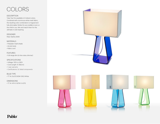## COLORS

### DESCRIPTION

Tube Top 14 is available in 6 vibrant colors. Combined with a luminous white mesh fabric, the resulting color combination is magical and fully dimmable. Perfect for any toddler's room or the child in you. Mix and match them for the ultimate in color layering.

### DESIGNER

Peter Stathis 2009

### MATERIALS

- Polyester mesh shade
- Acrylic body
- Fabric cord

### FEATURES

• Full-range dim (in-line rotary dimmer)

### **SPECIFICATIONS**

- Voltage: 120V or 240V
- Cord Length: 6' (182cm)
- 1 year warranty
- Certifications: UL listed components

### BULB TYPE

• TT 14: (1x) E12 60W G16.5 White

### DIMENSIONS

• TT 14: 14"H X 9.5"W X 4.5"D





## Pablo®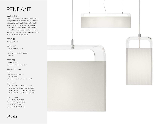# PENDANT

### DESCRIPTION

Tube Top is newly reborn as a suspension lamp, fusing its brilliant transparent acrylic surfaces with a soft and diffused fabric shade held in tension. Tube Top Pendant is a minimalist statement in form and proportion providing remarkable and fully dimmable illumination for home and contract applications. Lamps can be hung individually or in multiples.

### DESIGNER

Peter Stathis 2011

### MATERIALS

- Polyester mesh shade
- Acrylic
- Nickel-chrome steel hardware
- Fabric cord

### FEATURES

- Full range dim
- Easy assembly cable system

### SPECIFICATIONS

- 120V
- Cord length: 8' (244cm)
- 1 year warranty
- Certifications: UL listed components

### BULB TYPE

- TTP 7: (1x) E26-60W BT-15 White bulb
- TTP 14: (2x) E26-60W BT-15 White bulb
- TTP 18: (2x) E26-100W- BT-15 White bulb
- TTP 36: (4x) E26-100W-BT-15 White bulb

### DIMENSIONS

TTP 7: 7"W X 12"H X 6.5"D TTP 14: 14"W X 12"H X 6.5"D TTP 18: 18"W X 15"H X 9"D TTP 36: 36"W X 12"H X 8"D





## Pablo®